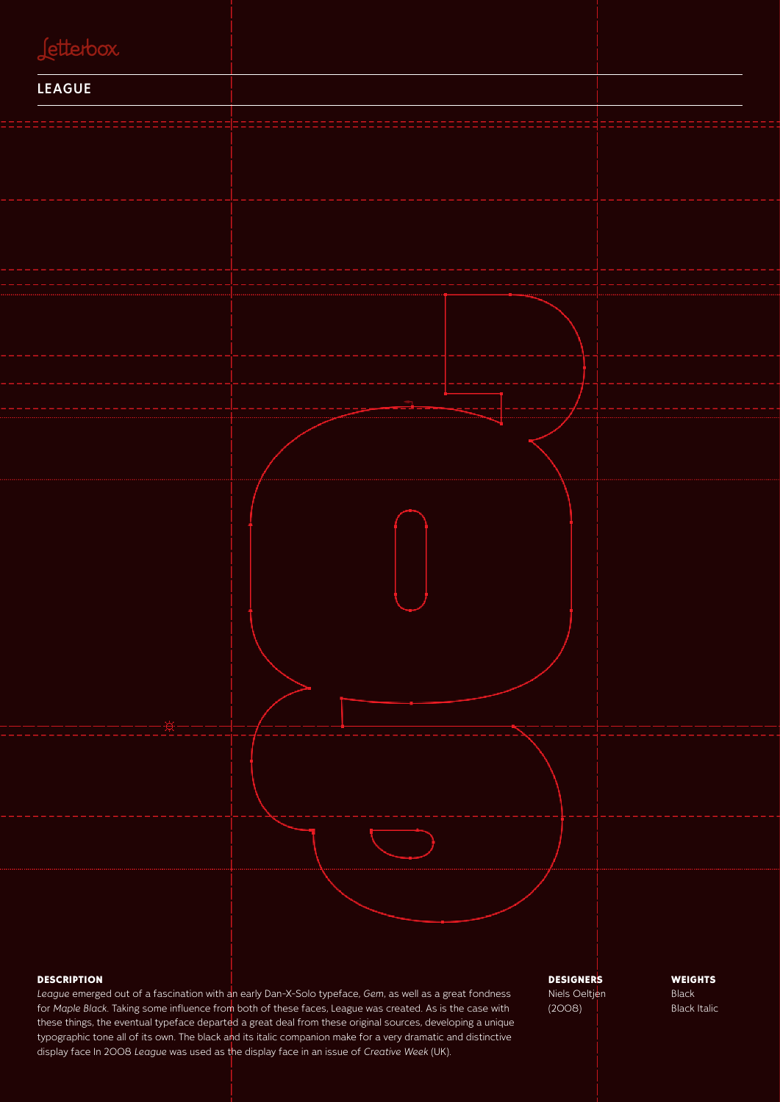

#### **DESCRIPTION**

*League* emerged out of a fascination with an early Dan-X-Solo typeface, *Gem*, as well as a great fondness for *Maple Black*. Taking some influence from both of these faces, League was created. As is the case with these things, the eventual typeface departed a great deal from these original sources, developing a unique typographic tone all of its own. The black and its italic companion make for a very dramatic and distinctive display face In 2008 *League* was used as the display face in an issue of *Creative Week* (UK).

**DESIGNERS** Niels Oeltjen (2008)

**WEIGHTS** Black Black Italic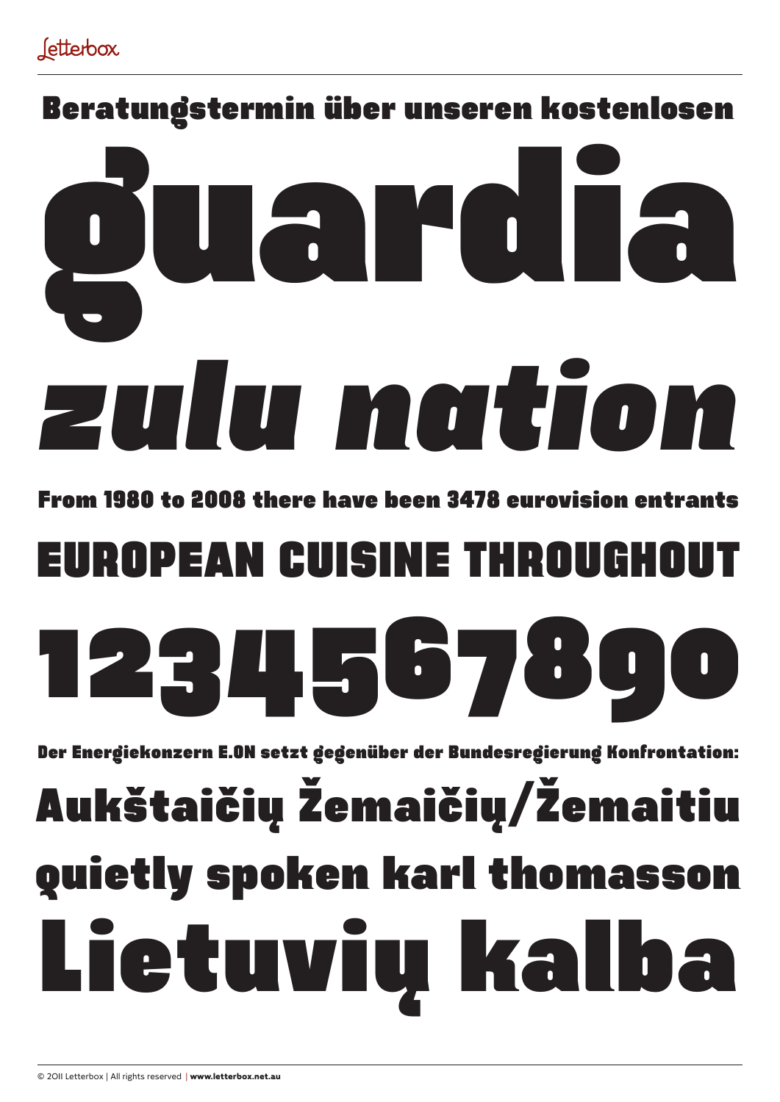### Beratungstermin über unseren kostenlosen

# *zulu nation* uardia

From 1980 to 2008 there have been 3478 eurovision entrants

### EUROPEAN CUISINE THROUGHOUT



Der Energiekonzern E.ON setzt gegenüber der Bundesregierung Konfrontation:

## Lietuvių kalba quietly spoken karl thomasson Aukštaičių Žemaičių/Žemaitiu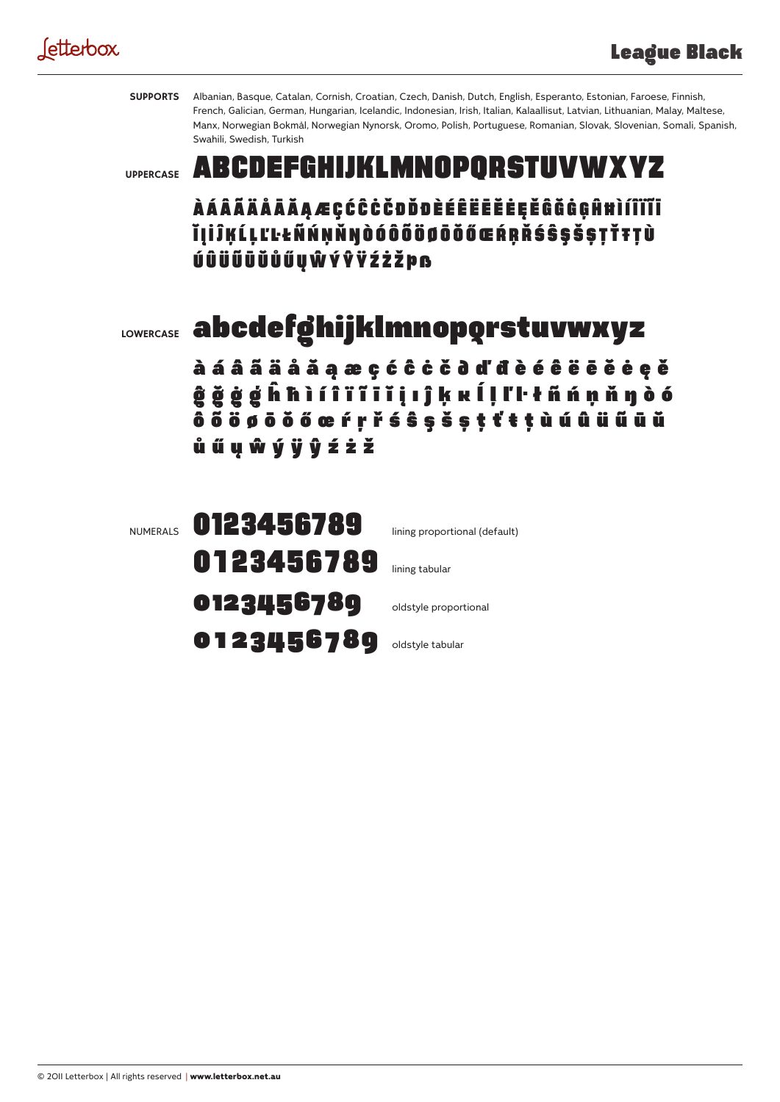